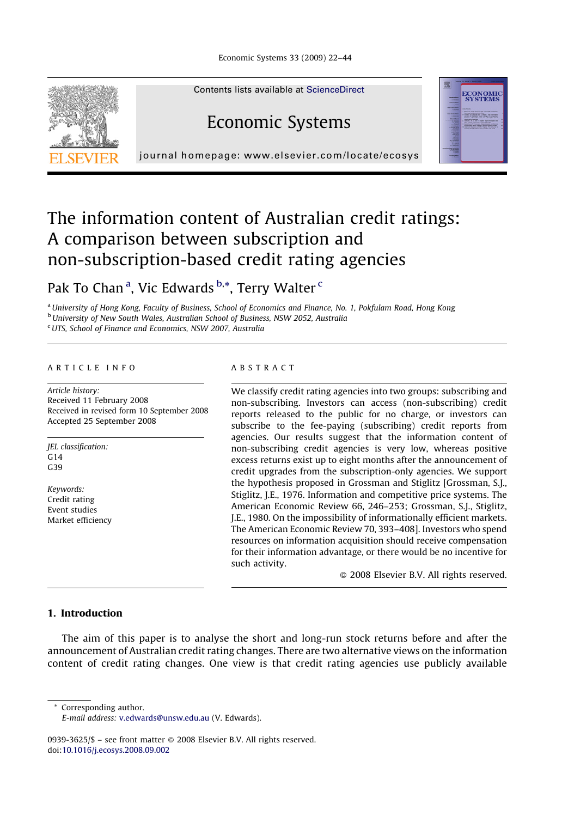

Contents lists available at [ScienceDirect](http://www.sciencedirect.com/science/journal/09393625)

## Economic Systems

journal homepage: www.elsevier.com/locate/ecosys

### The information content of Australian credit ratings: A comparison between subscription and non-subscription-based credit rating agencies

Pak To Chan<sup>a</sup>, Vic Edwards <sup>b,\*</sup>, Terry Walter <sup>c</sup>

<sup>a</sup> University of Hong Kong, Faculty of Business, School of Economics and Finance, No. 1, Pokfulam Road, Hong Kong **b** University of New South Wales, Australian School of Business, NSW 2052, Australia

<sup>c</sup>UTS, School of Finance and Economics, NSW 2007, Australia

#### ARTICLE INFO

Article history: Received 11 February 2008 Received in revised form 10 September 2008 Accepted 25 September 2008

JEL classification:  $C<sub>14</sub>$ G39

Keywords: Credit rating Event studies Market efficiency

#### ABSTRACT

We classify credit rating agencies into two groups: subscribing and non-subscribing. Investors can access (non-subscribing) credit reports released to the public for no charge, or investors can subscribe to the fee-paying (subscribing) credit reports from agencies. Our results suggest that the information content of non-subscribing credit agencies is very low, whereas positive excess returns exist up to eight months after the announcement of credit upgrades from the subscription-only agencies. We support the hypothesis proposed in Grossman and Stiglitz [Grossman, S.J., Stiglitz, J.E., 1976. Information and competitive price systems. The American Economic Review 66, 246–253; Grossman, S.J., Stiglitz, J.E., 1980. On the impossibility of informationally efficient markets. The American Economic Review 70, 393–408]. Investors who spend resources on information acquisition should receive compensation for their information advantage, or there would be no incentive for such activity.

- 2008 Elsevier B.V. All rights reserved.

**ECONOMIC**<br>SYSTEMS

### 1. Introduction

The aim of this paper is to analyse the short and long-run stock returns before and after the announcement of Australian credit rating changes. There are two alternative views on the information content of credit rating changes. One view is that credit rating agencies use publicly available

Corresponding author.

0939-3625/\$ – see front matter © 2008 Elsevier B.V. All rights reserved. doi:[10.1016/j.ecosys.2008.09.002](http://dx.doi.org/10.1016/j.ecosys.2008.09.002)

E-mail address: [v.edwards@unsw.edu.au](mailto:v.edwards@unsw.edu.au) (V. Edwards).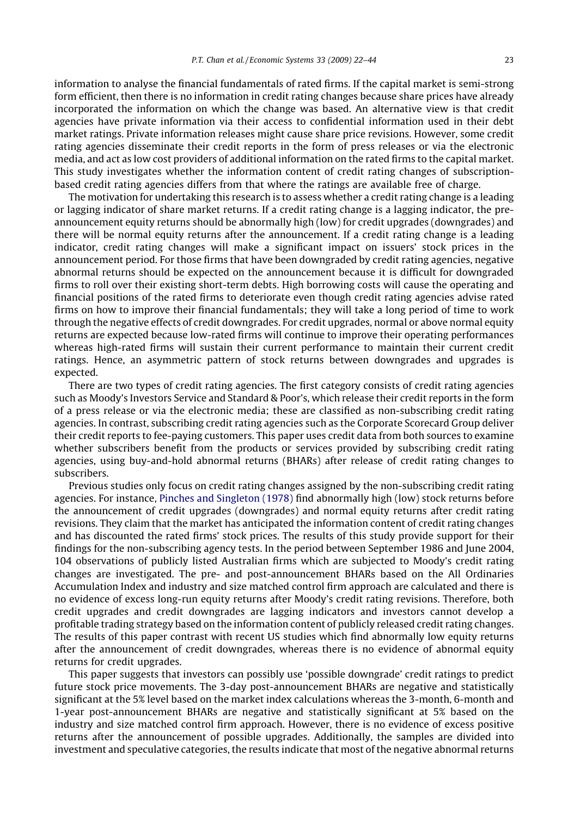information to analyse the financial fundamentals of rated firms. If the capital market is semi-strong form efficient, then there is no information in credit rating changes because share prices have already incorporated the information on which the change was based. An alternative view is that credit agencies have private information via their access to confidential information used in their debt market ratings. Private information releases might cause share price revisions. However, some credit rating agencies disseminate their credit reports in the form of press releases or via the electronic media, and act as low cost providers of additional information on the rated firms to the capital market. This study investigates whether the information content of credit rating changes of subscriptionbased credit rating agencies differs from that where the ratings are available free of charge.

The motivation for undertaking this research is to assess whether a credit rating change is a leading or lagging indicator of share market returns. If a credit rating change is a lagging indicator, the preannouncement equity returns should be abnormally high (low) for credit upgrades (downgrades) and there will be normal equity returns after the announcement. If a credit rating change is a leading indicator, credit rating changes will make a significant impact on issuers' stock prices in the announcement period. For those firms that have been downgraded by credit rating agencies, negative abnormal returns should be expected on the announcement because it is difficult for downgraded firms to roll over their existing short-term debts. High borrowing costs will cause the operating and financial positions of the rated firms to deteriorate even though credit rating agencies advise rated firms on how to improve their financial fundamentals; they will take a long period of time to work through the negative effects of credit downgrades. For credit upgrades, normal or above normal equity returns are expected because low-rated firms will continue to improve their operating performances whereas high-rated firms will sustain their current performance to maintain their current credit ratings. Hence, an asymmetric pattern of stock returns between downgrades and upgrades is expected.

There are two types of credit rating agencies. The first category consists of credit rating agencies such as Moody's Investors Service and Standard & Poor's, which release their credit reports in the form of a press release or via the electronic media; these are classified as non-subscribing credit rating agencies. In contrast, subscribing credit rating agencies such as the Corporate Scorecard Group deliver their credit reports to fee-paying customers. This paper uses credit data from both sources to examine whether subscribers benefit from the products or services provided by subscribing credit rating agencies, using buy-and-hold abnormal returns (BHARs) after release of credit rating changes to subscribers.

Previous studies only focus on credit rating changes assigned by the non-subscribing credit rating agencies. For instance, [Pinches and Singleton \(1978\)](#page--1-0) find abnormally high (low) stock returns before the announcement of credit upgrades (downgrades) and normal equity returns after credit rating revisions. They claim that the market has anticipated the information content of credit rating changes and has discounted the rated firms' stock prices. The results of this study provide support for their findings for the non-subscribing agency tests. In the period between September 1986 and June 2004, 104 observations of publicly listed Australian firms which are subjected to Moody's credit rating changes are investigated. The pre- and post-announcement BHARs based on the All Ordinaries Accumulation Index and industry and size matched control firm approach are calculated and there is no evidence of excess long-run equity returns after Moody's credit rating revisions. Therefore, both credit upgrades and credit downgrades are lagging indicators and investors cannot develop a profitable trading strategy based on the information content of publicly released credit rating changes. The results of this paper contrast with recent US studies which find abnormally low equity returns after the announcement of credit downgrades, whereas there is no evidence of abnormal equity returns for credit upgrades.

This paper suggests that investors can possibly use 'possible downgrade' credit ratings to predict future stock price movements. The 3-day post-announcement BHARs are negative and statistically significant at the 5% level based on the market index calculations whereas the 3-month, 6-month and 1-year post-announcement BHARs are negative and statistically significant at 5% based on the industry and size matched control firm approach. However, there is no evidence of excess positive returns after the announcement of possible upgrades. Additionally, the samples are divided into investment and speculative categories, the results indicate that most of the negative abnormal returns